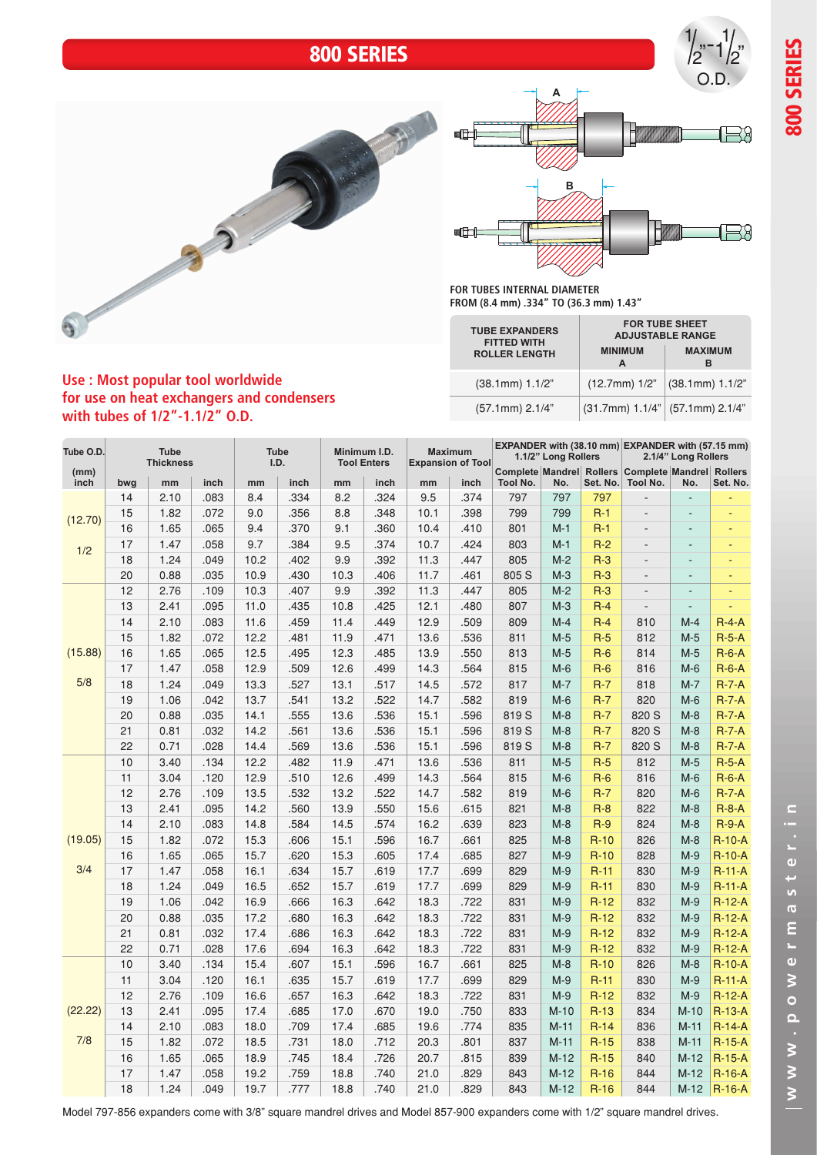## 800 SERIES







**FOR TUBES INTERNAL DIAMETER FROM (8.4 mm) .334" TO (36.3 mm) 1.43"**

| <b>TUBE EXPANDERS</b><br><b>FITTED WITH</b> | <b>MINIMUM</b>                      | <b>FOR TUBE SHEET</b><br><b>ADJUSTABLE RANGE</b><br><b>MAXIMUM</b> |  |  |  |  |
|---------------------------------------------|-------------------------------------|--------------------------------------------------------------------|--|--|--|--|
| <b>ROLLER LENGTH</b>                        | А                                   | R                                                                  |  |  |  |  |
| $(38.1mm)$ 1.1/2"                           | $(12.7mm)$ 1/2"                     | $(38.1mm)$ 1.1/2"                                                  |  |  |  |  |
| $(57.1mm)$ 2.1/4"                           | $(31.7mm)$ 1.1/4" $(57.1mm)$ 2.1/4" |                                                                    |  |  |  |  |

## **Use : Most popular tool worldwide for use on heat exchangers and condensers with tubes of 1/2"-1.1/2" O.D.**

| Tube O.D.      | <b>Tube</b><br><b>Thickness</b> |      |      | <b>Tube</b><br>Minimum I.D.<br>I.D.<br><b>Tool Enters</b> |      |      | <b>Maximum</b><br><b>Expansion of Tool</b> |      | 1.1/2" Long Rollers |          |        | EXPANDER with (38.10 mm) EXPANDER with (57.15 mm)<br>2.1/4" Long Rollers |                                                       |                              |                            |
|----------------|---------------------------------|------|------|-----------------------------------------------------------|------|------|--------------------------------------------|------|---------------------|----------|--------|--------------------------------------------------------------------------|-------------------------------------------------------|------------------------------|----------------------------|
| (mm)<br>inch   | bwg                             | mm   | inch | mm                                                        | inch | mm   | inch                                       | mm   | inch                | Tool No. | No.    | Set. No.                                                                 | Complete Mandrel Rollers Complete Mandrel<br>Tool No. | No.                          | <b>Rollers</b><br>Set. No. |
|                | 14                              | 2.10 | .083 | 8.4                                                       | .334 | 8.2  | .324                                       | 9.5  | .374                | 797      | 797    | 797                                                                      | $\overline{a}$                                        | L.                           |                            |
| (12.70)<br>1/2 | 15                              | 1.82 | .072 | 9.0                                                       | .356 | 8.8  | .348                                       | 10.1 | .398                | 799      | 799    | $R-1$                                                                    | ÷,                                                    |                              |                            |
|                | 16                              | 1.65 | .065 | 9.4                                                       | .370 | 9.1  | .360                                       | 10.4 | .410                | 801      | $M-1$  | $R-1$                                                                    | $\overline{\phantom{a}}$                              |                              |                            |
|                | 17                              | 1.47 | .058 | 9.7                                                       | .384 | 9.5  | .374                                       | 10.7 | .424                | 803      | $M-1$  | $R-2$                                                                    | $\overline{a}$                                        | ÷,                           |                            |
|                | 18                              | 1.24 | .049 | 10.2                                                      | .402 | 9.9  | .392                                       | 11.3 | .447                | 805      | $M-2$  | $R-3$                                                                    | ÷,                                                    |                              |                            |
|                | 20                              | 0.88 | .035 | 10.9                                                      | .430 | 10.3 | .406                                       | 11.7 | .461                | 805 S    | $M-3$  | $R-3$                                                                    | $\overline{a}$                                        | $\qquad \qquad \blacksquare$ | Ξ                          |
|                | 12                              | 2.76 | .109 | 10.3                                                      | .407 | 9.9  | .392                                       | 11.3 | .447                | 805      | $M-2$  | $R-3$                                                                    | ÷,                                                    | ÷,                           |                            |
|                | 13                              | 2.41 | .095 | 11.0                                                      | .435 | 10.8 | .425                                       | 12.1 | .480                | 807      | $M-3$  | $R-4$                                                                    | $\frac{1}{2}$                                         |                              |                            |
|                | 14                              | 2.10 | .083 | 11.6                                                      | .459 | 11.4 | .449                                       | 12.9 | .509                | 809      | $M-4$  | $R-4$                                                                    | 810                                                   | $M-4$                        | $R-4-A$                    |
|                | 15                              | 1.82 | .072 | 12.2                                                      | .481 | 11.9 | .471                                       | 13.6 | .536                | 811      | $M-5$  | $R-5$                                                                    | 812                                                   | $M-5$                        | $R-5-A$                    |
| (15.88)        | 16                              | 1.65 | .065 | 12.5                                                      | .495 | 12.3 | .485                                       | 13.9 | .550                | 813      | $M-5$  | $R-6$                                                                    | 814                                                   | $M-5$                        | $R-6-A$                    |
|                | 17                              | 1.47 | .058 | 12.9                                                      | .509 | 12.6 | .499                                       | 14.3 | .564                | 815      | $M-6$  | $R-6$                                                                    | 816                                                   | $M-6$                        | $R-6-A$                    |
| 5/8            | 18                              | 1.24 | .049 | 13.3                                                      | .527 | 13.1 | .517                                       | 14.5 | .572                | 817      | $M-7$  | $R-7$                                                                    | 818                                                   | $M-7$                        | $R-7-A$                    |
|                | 19                              | 1.06 | .042 | 13.7                                                      | .541 | 13.2 | .522                                       | 14.7 | .582                | 819      | $M-6$  | $R-7$                                                                    | 820                                                   | $M-6$                        | $R-7-A$                    |
|                | 20                              | 0.88 | .035 | 14.1                                                      | .555 | 13.6 | .536                                       | 15.1 | .596                | 819 S    | $M-8$  | $R-7$                                                                    | 820 S                                                 | $M-8$                        | $R - 7 - A$                |
|                | 21                              | 0.81 | .032 | 14.2                                                      | .561 | 13.6 | .536                                       | 15.1 | .596                | 819 S    | $M-8$  | $R-7$                                                                    | 820 S                                                 | $M-8$                        | $R-7-A$                    |
|                | 22                              | 0.71 | .028 | 14.4                                                      | .569 | 13.6 | .536                                       | 15.1 | .596                | 819 S    | $M-8$  | $R-7$                                                                    | 820 S                                                 | $M-8$                        | $R-7-A$                    |
|                | 10                              | 3.40 | .134 | 12.2                                                      | .482 | 11.9 | .471                                       | 13.6 | .536                | 811      | $M-5$  | $R-5$                                                                    | 812                                                   | $M-5$                        | $R-5-A$                    |
|                | 11                              | 3.04 | .120 | 12.9                                                      | .510 | 12.6 | .499                                       | 14.3 | .564                | 815      | $M-6$  | $R-6$                                                                    | 816                                                   | $M-6$                        | $R-6-A$                    |
|                | 12                              | 2.76 | .109 | 13.5                                                      | .532 | 13.2 | .522                                       | 14.7 | .582                | 819      | $M-6$  | $R-7$                                                                    | 820                                                   | $M-6$                        | $R-7-A$                    |
|                | 13                              | 2.41 | .095 | 14.2                                                      | .560 | 13.9 | .550                                       | 15.6 | .615                | 821      | $M-8$  | $R-8$                                                                    | 822                                                   | $M-8$                        | $R - 8 - A$                |
|                | 14                              | 2.10 | .083 | 14.8                                                      | .584 | 14.5 | .574                                       | 16.2 | .639                | 823      | $M-8$  | $R-9$                                                                    | 824                                                   | $M-8$                        | $R-9-A$                    |
| (19.05)        | 15                              | 1.82 | .072 | 15.3                                                      | .606 | 15.1 | .596                                       | 16.7 | .661                | 825      | $M-8$  | $R-10$                                                                   | 826                                                   | $M-8$                        | $R-10-A$                   |
|                | 16                              | 1.65 | .065 | 15.7                                                      | .620 | 15.3 | .605                                       | 17.4 | .685                | 827      | $M-9$  | $R-10$                                                                   | 828                                                   | $M-9$                        | $R-10-A$                   |
| 3/4            | 17                              | 1.47 | .058 | 16.1                                                      | .634 | 15.7 | .619                                       | 17.7 | .699                | 829      | $M-9$  | $R-11$                                                                   | 830                                                   | $M-9$                        | $R-11-A$                   |
|                | 18                              | 1.24 | .049 | 16.5                                                      | .652 | 15.7 | .619                                       | 17.7 | .699                | 829      | $M-9$  | $R-11$                                                                   | 830                                                   | $M-9$                        | $R-11-A$                   |
|                | 19                              | 1.06 | .042 | 16.9                                                      | .666 | 16.3 | .642                                       | 18.3 | .722                | 831      | $M-9$  | $R-12$                                                                   | 832                                                   | $M-9$                        | $R-12-A$                   |
|                | 20                              | 0.88 | .035 | 17.2                                                      | .680 | 16.3 | .642                                       | 18.3 | .722                | 831      | $M-9$  | $R-12$                                                                   | 832                                                   | $M-9$                        | $R-12-A$                   |
|                | 21                              | 0.81 | .032 | 17.4                                                      | .686 | 16.3 | .642                                       | 18.3 | .722                | 831      | $M-9$  | $R-12$                                                                   | 832                                                   | $M-9$                        | $R-12-A$                   |
|                | 22                              | 0.71 | .028 | 17.6                                                      | .694 | 16.3 | .642                                       | 18.3 | .722                | 831      | $M-9$  | $R-12$                                                                   | 832                                                   | $M-9$                        | $R-12-A$                   |
|                | 10                              | 3.40 | .134 | 15.4                                                      | .607 | 15.1 | .596                                       | 16.7 | .661                | 825      | $M-8$  | $R-10$                                                                   | 826                                                   | $M-8$                        | $R-10-A$                   |
| (22.22)<br>7/8 | 11                              | 3.04 | .120 | 16.1                                                      | .635 | 15.7 | .619                                       | 17.7 | .699                | 829      | $M-9$  | $R-11$                                                                   | 830                                                   | $M-9$                        | $R-11-A$                   |
|                | 12                              | 2.76 | .109 | 16.6                                                      | .657 | 16.3 | .642                                       | 18.3 | .722                | 831      | $M-9$  | $R-12$                                                                   | 832                                                   | $M-9$                        | $R-12-A$                   |
|                | 13                              | 2.41 | .095 | 17.4                                                      | .685 | 17.0 | .670                                       | 19.0 | .750                | 833      | $M-10$ | $R-13$                                                                   | 834                                                   | $M-10$                       | $R-13-A$                   |
|                | 14                              | 2.10 | .083 | 18.0                                                      | .709 | 17.4 | .685                                       | 19.6 | .774                | 835      | $M-11$ | $R-14$                                                                   | 836                                                   | $M-11$                       | $R-14-A$                   |
|                | 15                              | 1.82 | .072 | 18.5                                                      | .731 | 18.0 | .712                                       | 20.3 | .801                | 837      | $M-11$ | $R-15$                                                                   | 838                                                   | $M-11$                       | $R-15-A$                   |
|                | 16                              | 1.65 | .065 | 18.9                                                      | .745 | 18.4 | .726                                       | 20.7 | .815                | 839      | $M-12$ | $R-15$                                                                   | 840                                                   | $M-12$                       | $R-15-A$                   |
|                | 17                              | 1.47 | .058 | 19.2                                                      | .759 | 18.8 | .740                                       | 21.0 | .829                | 843      | $M-12$ | $R-16$                                                                   | 844                                                   | $M-12$                       | $R-16-A$                   |
|                | 18                              | 1.24 | .049 | 19.7                                                      | .777 | 18.8 | .740                                       | 21.0 | .829                | 843      | $M-12$ | $R-16$                                                                   | 844                                                   | $M-12$                       | $R-16-A$                   |

Model 797-856 expanders come with 3/8" square mandrel drives and Model 857-900 expanders come with 1/2" square mandrel drives.